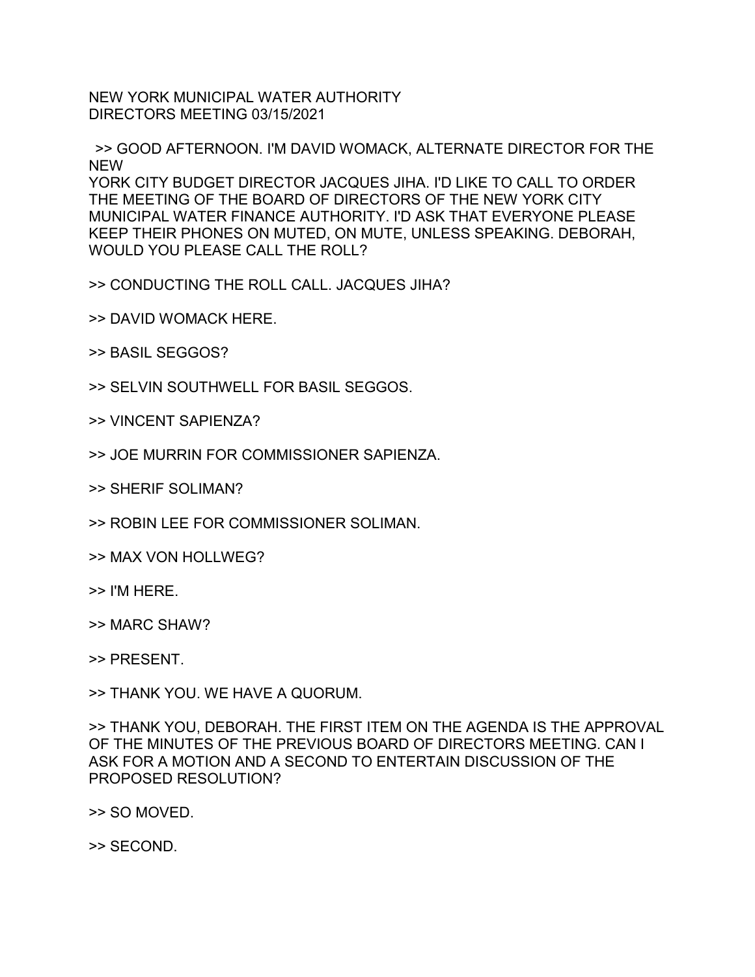NEW YORK MUNICIPAL WATER AUTHORITY DIRECTORS MEETING 03/15/2021

>> GOOD AFTERNOON. I'M DAVID WOMACK, ALTERNATE DIRECTOR FOR THE NEW YORK CITY BUDGET DIRECTOR JACQUES JIHA. I'D LIKE TO CALL TO ORDER THE MEETING OF THE BOARD OF DIRECTORS OF THE NEW YORK CITY MUNICIPAL WATER FINANCE AUTHORITY. I'D ASK THAT EVERYONE PLEASE KEEP THEIR PHONES ON MUTED, ON MUTE, UNLESS SPEAKING. DEBORAH, WOULD YOU PLEASE CALL THE ROLL?

>> CONDUCTING THE ROLL CALL. JACQUES JIHA?

- >> DAVID WOMACK HERE.
- >> BASIL SEGGOS?
- >> SELVIN SOUTHWELL FOR BASIL SEGGOS.
- >> VINCENT SAPIENZA?
- >> JOE MURRIN FOR COMMISSIONER SAPIENZA.
- >> SHERIF SOLIMAN?
- >> ROBIN LEE FOR COMMISSIONER SOLIMAN.
- >> MAX VON HOLLWEG?
- >> I'M HERE.
- >> MARC SHAW?

>> PRESENT.

>> THANK YOU. WE HAVE A QUORUM.

>> THANK YOU, DEBORAH. THE FIRST ITEM ON THE AGENDA IS THE APPROVAL OF THE MINUTES OF THE PREVIOUS BOARD OF DIRECTORS MEETING. CAN I ASK FOR A MOTION AND A SECOND TO ENTERTAIN DISCUSSION OF THE PROPOSED RESOLUTION?

>> SO MOVED.

>> SECOND.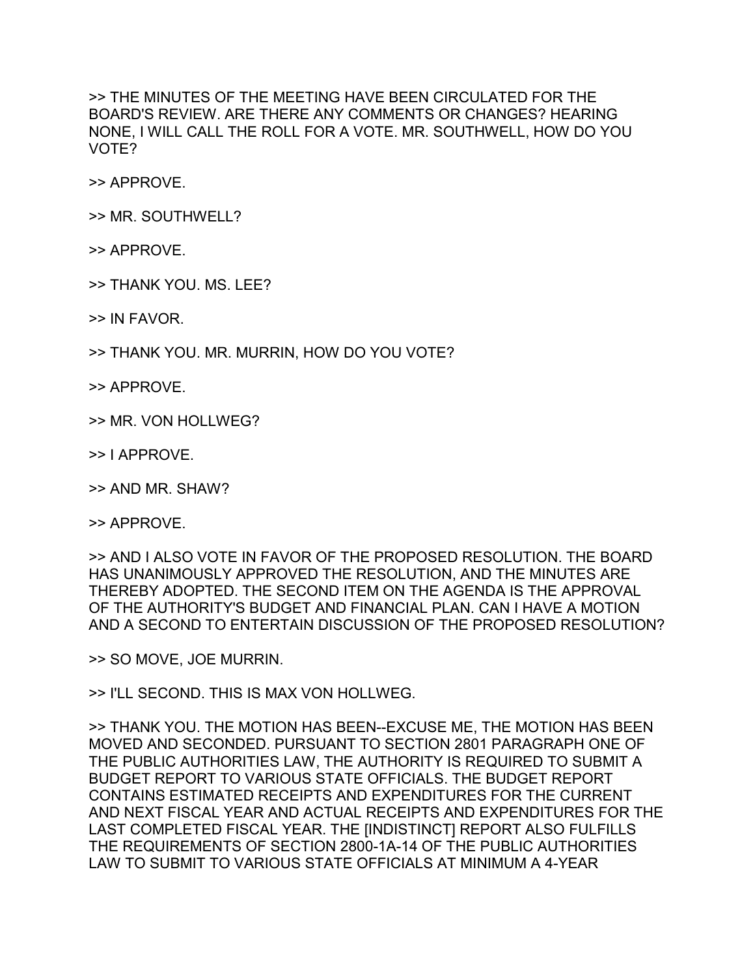>> THE MINUTES OF THE MEETING HAVE BEEN CIRCULATED FOR THE BOARD'S REVIEW. ARE THERE ANY COMMENTS OR CHANGES? HEARING NONE, I WILL CALL THE ROLL FOR A VOTE. MR. SOUTHWELL, HOW DO YOU VOTE?

>> APPROVE.

- >> MR. SOUTHWELL?
- >> APPROVE.
- >> THANK YOU. MS. LEE?
- >> IN FAVOR.
- >> THANK YOU. MR. MURRIN, HOW DO YOU VOTE?
- >> APPROVE.
- >> MR. VON HOLLWEG?
- >> I APPROVE.
- >> AND MR. SHAW?
- >> APPROVE.

>> AND I ALSO VOTE IN FAVOR OF THE PROPOSED RESOLUTION. THE BOARD HAS UNANIMOUSLY APPROVED THE RESOLUTION, AND THE MINUTES ARE THEREBY ADOPTED. THE SECOND ITEM ON THE AGENDA IS THE APPROVAL OF THE AUTHORITY'S BUDGET AND FINANCIAL PLAN. CAN I HAVE A MOTION AND A SECOND TO ENTERTAIN DISCUSSION OF THE PROPOSED RESOLUTION?

>> SO MOVE, JOE MURRIN.

>> I'LL SECOND. THIS IS MAX VON HOLLWEG.

>> THANK YOU. THE MOTION HAS BEEN--EXCUSE ME, THE MOTION HAS BEEN MOVED AND SECONDED. PURSUANT TO SECTION 2801 PARAGRAPH ONE OF THE PUBLIC AUTHORITIES LAW, THE AUTHORITY IS REQUIRED TO SUBMIT A BUDGET REPORT TO VARIOUS STATE OFFICIALS. THE BUDGET REPORT CONTAINS ESTIMATED RECEIPTS AND EXPENDITURES FOR THE CURRENT AND NEXT FISCAL YEAR AND ACTUAL RECEIPTS AND EXPENDITURES FOR THE LAST COMPLETED FISCAL YEAR. THE [INDISTINCT] REPORT ALSO FULFILLS THE REQUIREMENTS OF SECTION 2800-1A-14 OF THE PUBLIC AUTHORITIES LAW TO SUBMIT TO VARIOUS STATE OFFICIALS AT MINIMUM A 4-YEAR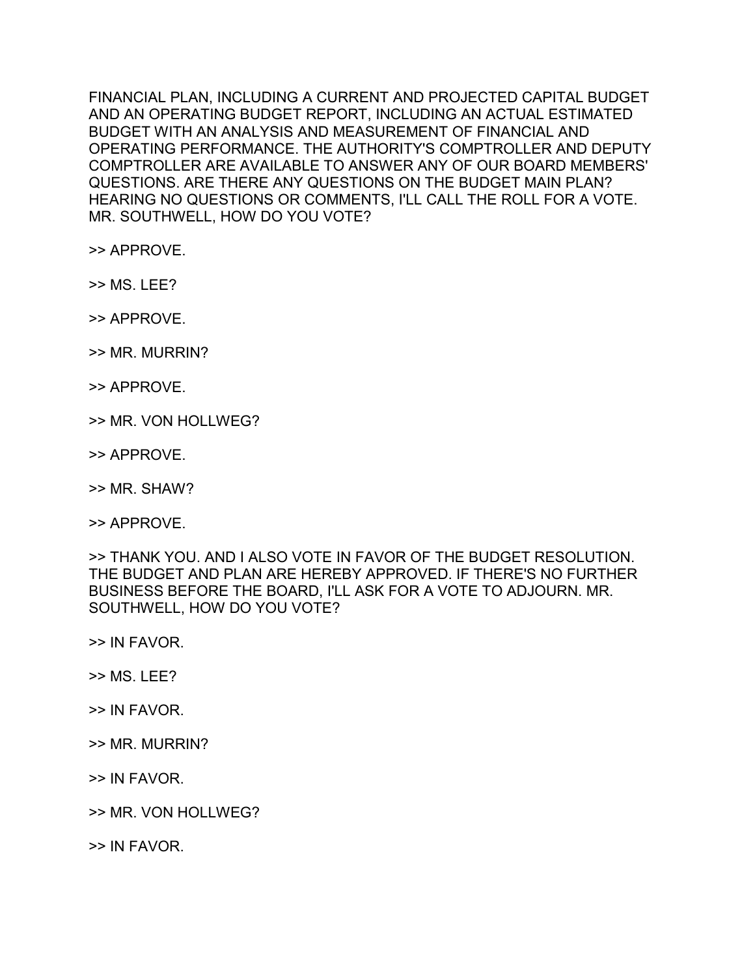FINANCIAL PLAN, INCLUDING A CURRENT AND PROJECTED CAPITAL BUDGET AND AN OPERATING BUDGET REPORT, INCLUDING AN ACTUAL ESTIMATED BUDGET WITH AN ANALYSIS AND MEASUREMENT OF FINANCIAL AND OPERATING PERFORMANCE. THE AUTHORITY'S COMPTROLLER AND DEPUTY COMPTROLLER ARE AVAILABLE TO ANSWER ANY OF OUR BOARD MEMBERS' QUESTIONS. ARE THERE ANY QUESTIONS ON THE BUDGET MAIN PLAN? HEARING NO QUESTIONS OR COMMENTS, I'LL CALL THE ROLL FOR A VOTE. MR. SOUTHWELL, HOW DO YOU VOTE?

>> APPROVE.

>> MS. LEE?

>> APPROVE.

>> MR. MURRIN?

>> APPROVE.

>> MR. VON HOLLWEG?

>> APPROVE.

>> MR. SHAW?

>> APPROVE.

>> THANK YOU. AND I ALSO VOTE IN FAVOR OF THE BUDGET RESOLUTION. THE BUDGET AND PLAN ARE HEREBY APPROVED. IF THERE'S NO FURTHER BUSINESS BEFORE THE BOARD, I'LL ASK FOR A VOTE TO ADJOURN. MR. SOUTHWELL, HOW DO YOU VOTE?

>> IN FAVOR.

>> MS. LEE?

>> IN FAVOR.

>> MR. MURRIN?

>> IN FAVOR.

>> MR. VON HOLLWEG?

>> IN FAVOR.